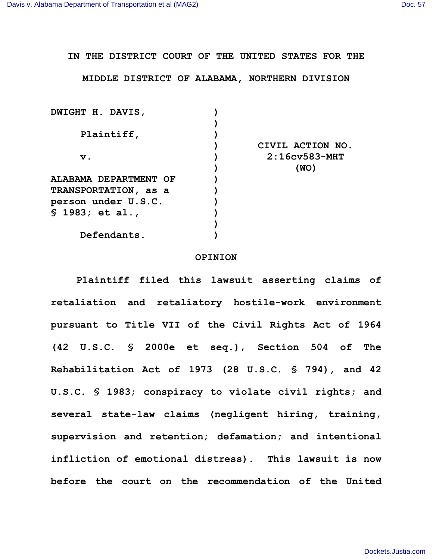**IN THE DISTRICT COURT OF THE UNITED STATES FOR THE**

**MIDDLE DISTRICT OF ALABAMA, NORTHERN DIVISION**

| DWIGHT H. DAVIS,      |                  |
|-----------------------|------------------|
|                       |                  |
| Plaintiff,            |                  |
|                       | CIVIL ACTION NO. |
| $\mathbf v$ .         | $2:16cy583-MHT$  |
|                       | (WO)             |
| ALABAMA DEPARTMENT OF |                  |
| TRANSPORTATION, as a  |                  |
| person under U.S.C.   |                  |
| $$1983;$ et al.,      |                  |
|                       |                  |
| Defendants.           |                  |
|                       |                  |

## **OPINION**

**Plaintiff filed this lawsuit asserting claims of retaliation and retaliatory hostile-work environment pursuant to Title VII of the Civil Rights Act of 1964 (42 U.S.C. § 2000e et seq.), Section 504 of The Rehabilitation Act of 1973 (28 U.S.C. § 794), and 42 U.S.C. § 1983; conspiracy to violate civil rights; and several state-law claims (negligent hiring, training, supervision and retention; defamation; and intentional infliction of emotional distress). This lawsuit is now before the court on the recommendation of the United**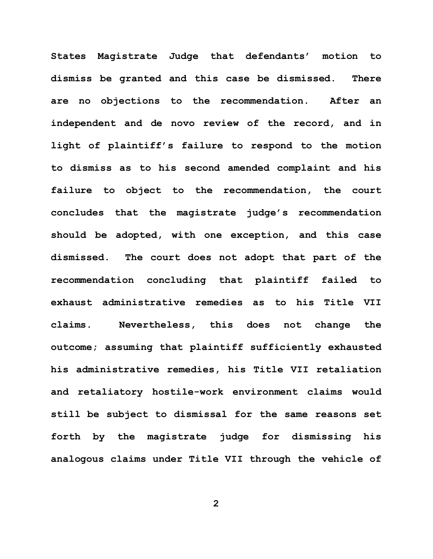**States Magistrate Judge that defendants' motion to dismiss be granted and this case be dismissed. There are no objections to the recommendation. After an independent and de novo review of the record, and in light of plaintiff's failure to respond to the motion to dismiss as to his second amended complaint and his failure to object to the recommendation, the court concludes that the magistrate judge's recommendation should be adopted, with one exception, and this case dismissed. The court does not adopt that part of the recommendation concluding that plaintiff failed to exhaust administrative remedies as to his Title VII claims. Nevertheless, this does not change the outcome; assuming that plaintiff sufficiently exhausted his administrative remedies, his Title VII retaliation and retaliatory hostile-work environment claims would still be subject to dismissal for the same reasons set forth by the magistrate judge for dismissing his analogous claims under Title VII through the vehicle of** 

**2**